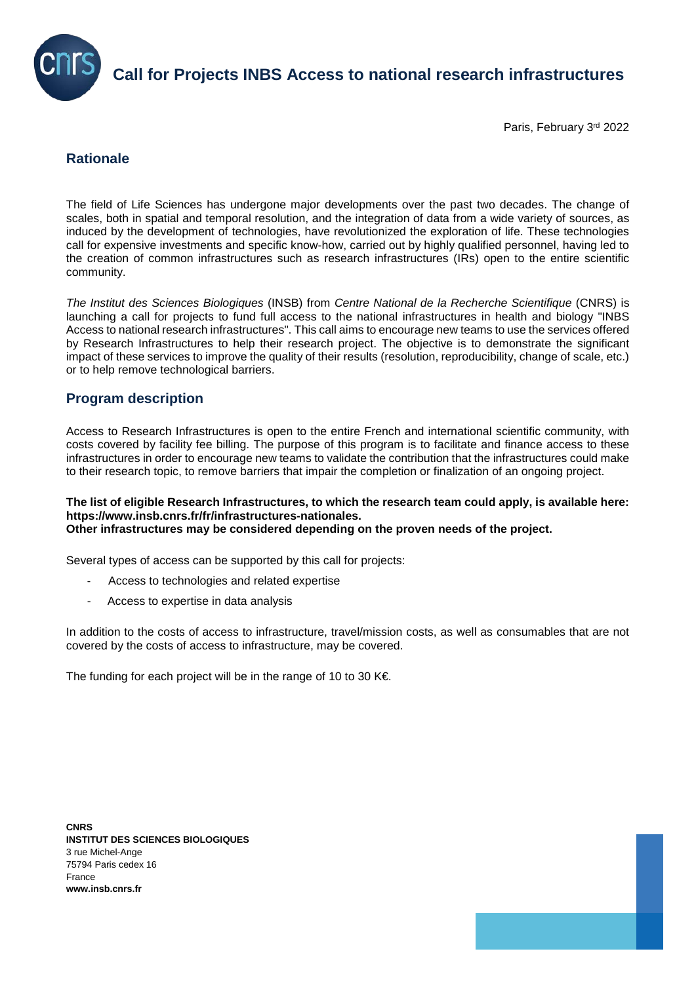

**Call for Projects INBS Access to national research infrastructures**

Paris, February 3rd 2022

# **Rationale**

The field of Life Sciences has undergone major developments over the past two decades. The change of scales, both in spatial and temporal resolution, and the integration of data from a wide variety of sources, as induced by the development of technologies, have revolutionized the exploration of life. These technologies call for expensive investments and specific know-how, carried out by highly qualified personnel, having led to the creation of common infrastructures such as research infrastructures (IRs) open to the entire scientific community.

*The Institut des Sciences Biologiques* (INSB) from *Centre National de la Recherche Scientifique* (CNRS) is launching a call for projects to fund full access to the national infrastructures in health and biology "INBS Access to national research infrastructures". This call aims to encourage new teams to use the services offered by Research Infrastructures to help their research project. The objective is to demonstrate the significant impact of these services to improve the quality of their results (resolution, reproducibility, change of scale, etc.) or to help remove technological barriers.

## **Program description**

Access to Research Infrastructures is open to the entire French and international scientific community, with costs covered by facility fee billing. The purpose of this program is to facilitate and finance access to these infrastructures in order to encourage new teams to validate the contribution that the infrastructures could make to their research topic, to remove barriers that impair the completion or finalization of an ongoing project.

### **The list of eligible Research Infrastructures, to which the research team could apply, is available here: https://www.insb.cnrs.fr/fr/infrastructures-nationales. Other infrastructures may be considered depending on the proven needs of the project.**

Several types of access can be supported by this call for projects:

- Access to technologies and related expertise
- Access to expertise in data analysis

In addition to the costs of access to infrastructure, travel/mission costs, as well as consumables that are not covered by the costs of access to infrastructure, may be covered.

The funding for each project will be in the range of 10 to 30 K€.

**CNRS INSTITUT DES SCIENCES BIOLOGIQUES** 3 rue Michel-Ange 75794 Paris cedex 16 France **www.insb.cnrs.fr**